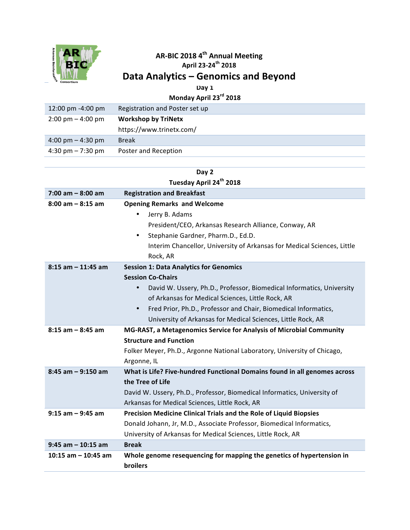

## **AR-BIC 2018 4th Annual Meeting**

**April 23-24th 2018**

## Data Analytics – Genomics and Beyond

**Day 1**

**Monday April 23rd 2018**

| 12:00 pm -4:00 pm                   | Registration and Poster set up |
|-------------------------------------|--------------------------------|
| $2:00 \text{ pm} - 4:00 \text{ pm}$ | <b>Workshop by TriNetx</b>     |
|                                     | https://www.trinetx.com/       |
| $4:00 \text{ pm} - 4:30 \text{ pm}$ | <b>Break</b>                   |
| 4:30 pm $- 7:30$ pm                 | Poster and Reception           |

| Day 2                               |                                                                                    |  |
|-------------------------------------|------------------------------------------------------------------------------------|--|
| Tuesday April 24 <sup>th</sup> 2018 |                                                                                    |  |
| $7:00$ am $-8:00$ am                | <b>Registration and Breakfast</b>                                                  |  |
| $8:00$ am $-8:15$ am                | <b>Opening Remarks and Welcome</b>                                                 |  |
|                                     | Jerry B. Adams                                                                     |  |
|                                     | President/CEO, Arkansas Research Alliance, Conway, AR                              |  |
|                                     | Stephanie Gardner, Pharm.D., Ed.D.<br>$\bullet$                                    |  |
|                                     | Interim Chancellor, University of Arkansas for Medical Sciences, Little            |  |
|                                     | Rock, AR                                                                           |  |
| $8:15$ am $-11:45$ am               | <b>Session 1: Data Analytics for Genomics</b>                                      |  |
|                                     | <b>Session Co-Chairs</b>                                                           |  |
|                                     | David W. Ussery, Ph.D., Professor, Biomedical Informatics, University<br>$\bullet$ |  |
|                                     | of Arkansas for Medical Sciences, Little Rock, AR                                  |  |
|                                     | Fred Prior, Ph.D., Professor and Chair, Biomedical Informatics,<br>$\bullet$       |  |
|                                     | University of Arkansas for Medical Sciences, Little Rock, AR                       |  |
| $8:15$ am $-8:45$ am                | MG-RAST, a Metagenomics Service for Analysis of Microbial Community                |  |
|                                     | <b>Structure and Function</b>                                                      |  |
|                                     | Folker Meyer, Ph.D., Argonne National Laboratory, University of Chicago,           |  |
|                                     | Argonne, IL                                                                        |  |
| $8:45$ am $-9:150$ am               | What is Life? Five-hundred Functional Domains found in all genomes across          |  |
|                                     | the Tree of Life                                                                   |  |
|                                     | David W. Ussery, Ph.D., Professor, Biomedical Informatics, University of           |  |
|                                     | Arkansas for Medical Sciences, Little Rock, AR                                     |  |
| $9:15$ am $-9:45$ am                | Precision Medicine Clinical Trials and the Role of Liquid Biopsies                 |  |
|                                     | Donald Johann, Jr, M.D., Associate Professor, Biomedical Informatics,              |  |
|                                     | University of Arkansas for Medical Sciences, Little Rock, AR                       |  |
| $9:45$ am $-10:15$ am               | <b>Break</b>                                                                       |  |
| 10:15 am $-$ 10:45 am               | Whole genome resequencing for mapping the genetics of hypertension in              |  |
|                                     | <b>broilers</b>                                                                    |  |